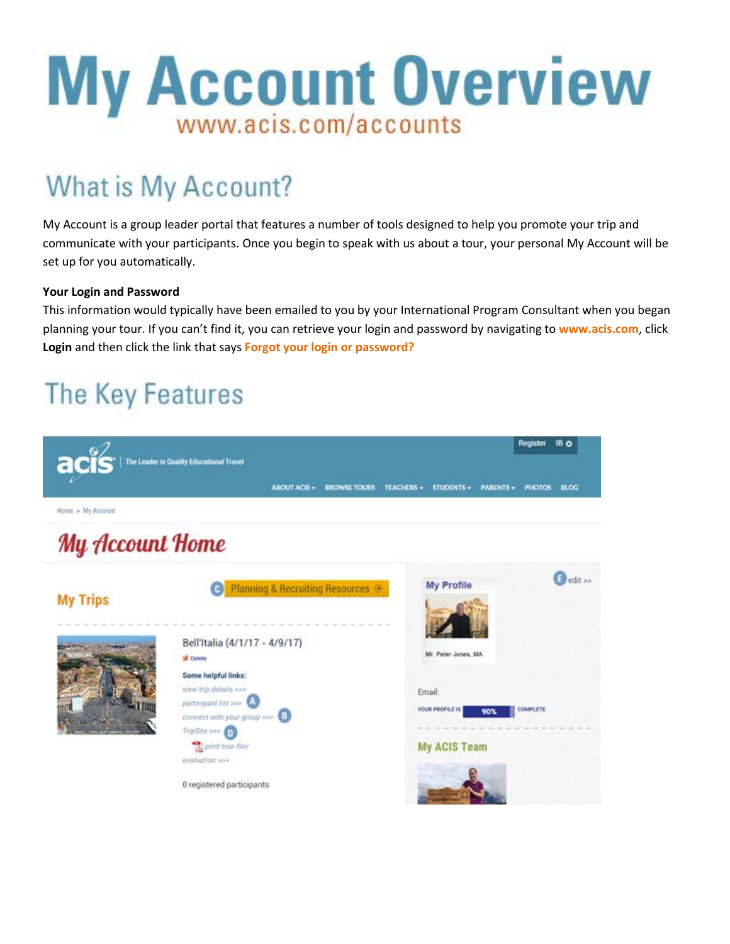## **My Account Overview** www.acis.com/accounts

## What is My Account?

My Account is a group leader portal that features a number of tools designed to help you promote your trip and communicate with your participants. Once you begin to speak with us about a tour, your personal My Account will be set up for you automatically.

#### **Your Login and Password**

This information would typically have been emailed to you by your International Program Consultant when you began planning your tour. If you can't find it, you can retrieve your login and password by navigating to **www.acis.com**, click **Login** and then click the link that says **Forgot your login or password?**

## The Key Features

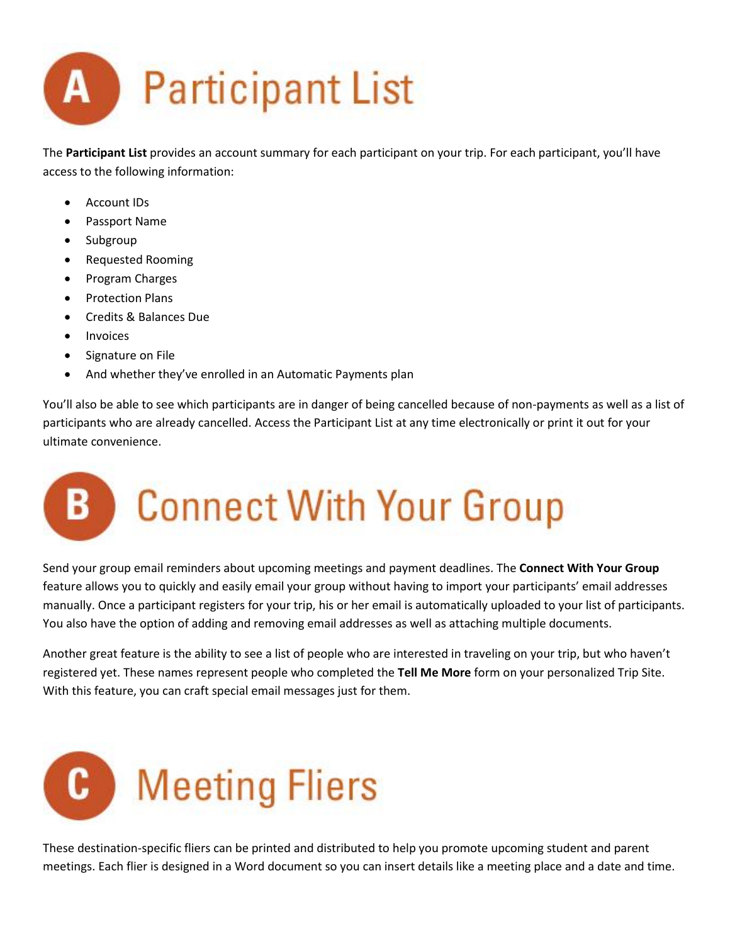

The **Participant List** provides an account summary for each participant on your trip. For each participant, you'll have access to the following information:

- Account IDs
- Passport Name
- Subgroup
- Requested Rooming
- Program Charges
- Protection Plans
- Credits & Balances Due
- Invoices
- Signature on File
- And whether they've enrolled in an Automatic Payments plan

You'll also be able to see which participants are in danger of being cancelled because of non-payments as well as a list of participants who are already cancelled. Access the Participant List at any time electronically or print it out for your ultimate convenience.

### **Connect With Your Group** B.

Send your group email reminders about upcoming meetings and payment deadlines. The **Connect With Your Group** feature allows you to quickly and easily email your group without having to import your participants' email addresses manually. Once a participant registers for your trip, his or her email is automatically uploaded to your list of participants. You also have the option of adding and removing email addresses as well as attaching multiple documents.

Another great feature is the ability to see a list of people who are interested in traveling on your trip, but who haven't registered yet. These names represent people who completed the **Tell Me More** form on your personalized Trip Site. With this feature, you can craft special email messages just for them.



These destination-specific fliers can be printed and distributed to help you promote upcoming student and parent meetings. Each flier is designed in a Word document so you can insert details like a meeting place and a date and time.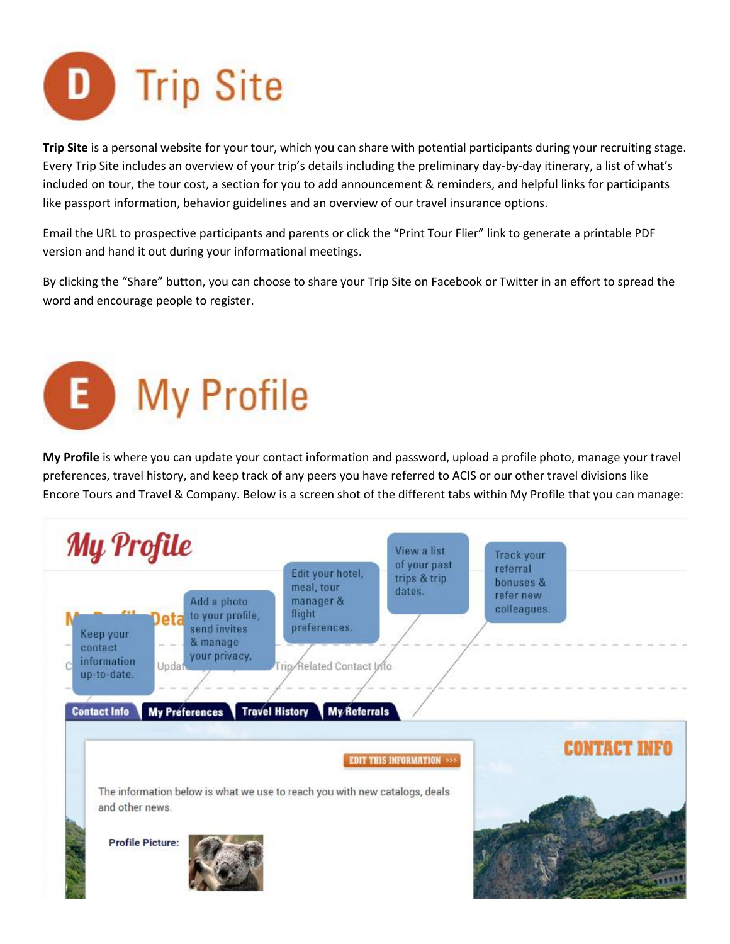

**Trip Site** is a personal website for your tour, which you can share with potential participants during your recruiting stage. Every Trip Site includes an overview of your trip's details including the preliminary day-by-day itinerary, a list of what's included on tour, the tour cost, a section for you to add announcement & reminders, and helpful links for participants like passport information, behavior guidelines and an overview of our travel insurance options.

Email the URL to prospective participants and parents or click the "Print Tour Flier" link to generate a printable PDF version and hand it out during your informational meetings.

By clicking the "Share" button, you can choose to share your Trip Site on Facebook or Twitter in an effort to spread the word and encourage people to register.

# E My Profile

**My Profile** is where you can update your contact information and password, upload a profile photo, manage your travel preferences, travel history, and keep track of any peers you have referred to ACIS or our other travel divisions like Encore Tours and Travel & Company. Below is a screen shot of the different tabs within My Profile that you can manage: